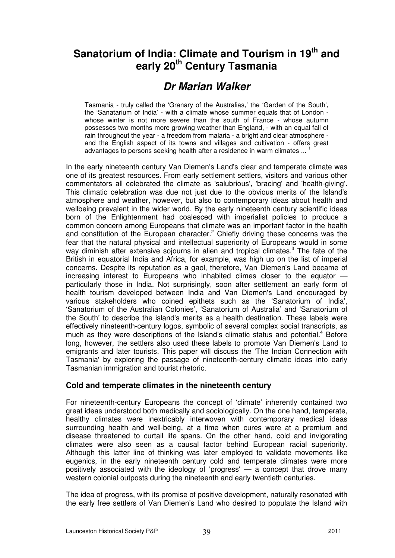# **Sanatorium of India: Climate and Tourism in 19th and early 20th Century Tasmania**

# **Dr Marian Walker**

Tasmania - truly called the 'Granary of the Australias,' the 'Garden of the South', the 'Sanatarium of India' - with a climate whose summer equals that of London whose winter is not more severe than the south of France - whose autumn possesses two months more growing weather than England, - with an equal fall of rain throughout the year - a freedom from malaria - a bright and clear atmosphere and the English aspect of its towns and villages and cultivation - offers great advantages to persons seeking health after a residence in warm climates ...

In the early nineteenth century Van Diemen's Land's clear and temperate climate was one of its greatest resources. From early settlement settlers, visitors and various other commentators all celebrated the climate as 'salubrious', 'bracing' and 'health-giving'. This climatic celebration was due not just due to the obvious merits of the Island's atmosphere and weather, however, but also to contemporary ideas about health and wellbeing prevalent in the wider world. By the early nineteenth century scientific ideas born of the Enlightenment had coalesced with imperialist policies to produce a common concern among Europeans that climate was an important factor in the health and constitution of the European character.<sup>2</sup> Chiefly driving these concerns was the fear that the natural physical and intellectual superiority of Europeans would in some way diminish after extensive sojourns in alien and tropical climates.<sup>3</sup> The fate of the British in equatorial India and Africa, for example, was high up on the list of imperial concerns. Despite its reputation as a gaol, therefore, Van Diemen's Land became of increasing interest to Europeans who inhabited climes closer to the equator particularly those in India. Not surprisingly, soon after settlement an early form of health tourism developed between India and Van Diemen's Land encouraged by various stakeholders who coined epithets such as the 'Sanatorium of India', 'Sanatorium of the Australian Colonies', 'Sanatorium of Australia' and 'Sanatorium of the South' to describe the island's merits as a health destination. These labels were effectively nineteenth-century logos, symbolic of several complex social transcripts, as much as they were descriptions of the Island's climatic status and potential.<sup>4</sup> Before long, however, the settlers also used these labels to promote Van Diemen's Land to emigrants and later tourists. This paper will discuss the 'The Indian Connection with Tasmania' by exploring the passage of nineteenth-century climatic ideas into early Tasmanian immigration and tourist rhetoric.

### **Cold and temperate climates in the nineteenth century**

For nineteenth-century Europeans the concept of 'climate' inherently contained two great ideas understood both medically and sociologically. On the one hand, temperate, healthy climates were inextricably interwoven with contemporary medical ideas surrounding health and well-being, at a time when cures were at a premium and disease threatened to curtail life spans. On the other hand, cold and invigorating climates were also seen as a causal factor behind European racial superiority. Although this latter line of thinking was later employed to validate movements like eugenics, in the early nineteenth century cold and temperate climates were more positively associated with the ideology of 'progress' — a concept that drove many western colonial outposts during the nineteenth and early twentieth centuries.

The idea of progress, with its promise of positive development, naturally resonated with the early free settlers of Van Diemen's Land who desired to populate the Island with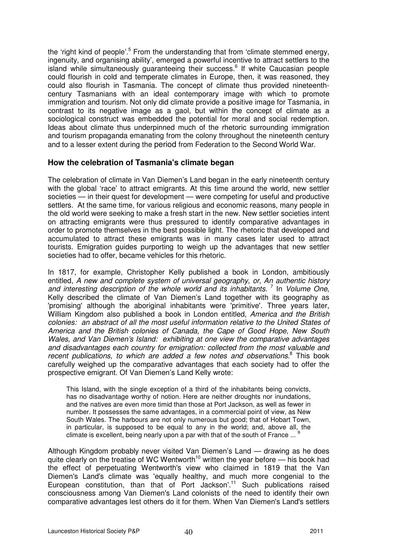the 'right kind of people'.<sup>5</sup> From the understanding that from 'climate stemmed energy, ingenuity, and organising ability', emerged a powerful incentive to attract settlers to the island while simultaneously guaranteeing their success.<sup>6</sup> If white Caucasian people could flourish in cold and temperate climates in Europe, then, it was reasoned, they could also flourish in Tasmania. The concept of climate thus provided nineteenthcentury Tasmanians with an ideal contemporary image with which to promote immigration and tourism. Not only did climate provide a positive image for Tasmania, in contrast to its negative image as a gaol, but within the concept of climate as a sociological construct was embedded the potential for moral and social redemption. Ideas about climate thus underpinned much of the rhetoric surrounding immigration and tourism propaganda emanating from the colony throughout the nineteenth century and to a lesser extent during the period from Federation to the Second World War.

#### **How the celebration of Tasmania's climate began**

The celebration of climate in Van Diemen's Land began in the early nineteenth century with the global 'race' to attract emigrants. At this time around the world, new settler societies — in their quest for development — were competing for useful and productive settlers. At the same time, for various religious and economic reasons, many people in the old world were seeking to make a fresh start in the new. New settler societies intent on attracting emigrants were thus pressured to identify comparative advantages in order to promote themselves in the best possible light. The rhetoric that developed and accumulated to attract these emigrants was in many cases later used to attract tourists. Emigration guides purporting to weigh up the advantages that new settler societies had to offer, became vehicles for this rhetoric.

In 1817, for example, Christopher Kelly published a book in London, ambitiously entitled, A new and complete system of universal geography, or, An authentic history and interesting description of the whole world and its inhabitants.<sup>7</sup> In Volume One, Kelly described the climate of Van Diemen's Land together with its geography as 'promising' although the aboriginal inhabitants were 'primitive'. Three years later, William Kingdom also published a book in London entitled, America and the British colonies: an abstract of all the most useful information relative to the United States of America and the British colonies of Canada, the Cape of Good Hope, New South Wales, and Van Diemen's Island: exhibiting at one view the comparative advantages and disadvantages each country for emigration: collected from the most valuable and recent publications, to which are added a few notes and observations.<sup>8</sup> This book carefully weighed up the comparative advantages that each society had to offer the prospective emigrant. Of Van Diemen's Land Kelly wrote:

This Island, with the single exception of a third of the inhabitants being convicts, has no disadvantage worthy of notion. Here are neither droughts nor inundations, and the natives are even more timid than those at Port Jackson, as well as fewer in number. It possesses the same advantages, in a commercial point of view, as New South Wales. The harbours are not only numerous but good; that of Hobart Town, in particular, is supposed to be equal to any in the world; and, above all, the climate is excellent, being nearly upon a par with that of the south of France ...

Although Kingdom probably never visited Van Diemen's Land — drawing as he does quite clearly on the treatise of WC Wentworth<sup>10</sup> written the year before  $-$  his book had the effect of perpetuating Wentworth's view who claimed in 1819 that the Van Diemen's Land's climate was 'equally healthy, and much more congenial to the European constitution, than that of Port Jackson'.<sup>11</sup> Such publications raised consciousness among Van Diemen's Land colonists of the need to identify their own comparative advantages lest others do it for them. When Van Diemen's Land's settlers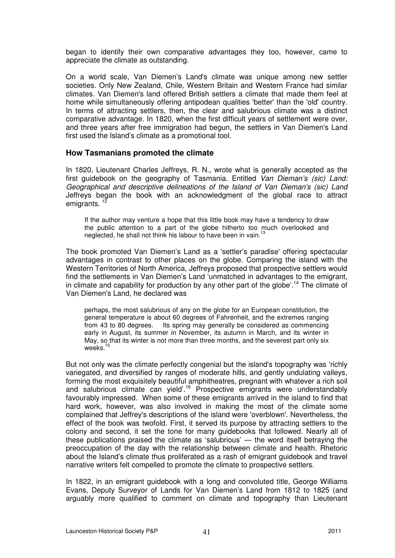began to identify their own comparative advantages they too, however, came to appreciate the climate as outstanding.

On a world scale, Van Diemen's Land's climate was unique among new settler societies. Only New Zealand, Chile, Western Britain and Western France had similar climates. Van Diemen's land offered British settlers a climate that made them feel at home while simultaneously offering antipodean qualities 'better' than the 'old' country. In terms of attracting settlers, then, the clear and salubrious climate was a distinct comparative advantage. In 1820, when the first difficult years of settlement were over, and three years after free immigration had begun, the settlers in Van Diemen's Land first used the Island's climate as a promotional tool.

#### **How Tasmanians promoted the climate**

In 1820, Lieutenant Charles Jeffreys, R. N., wrote what is generally accepted as the first guidebook on the geography of Tasmania. Entitled Van Dieman's (sic) Land: Geographical and descriptive delineations of the Island of Van Dieman's (sic) Land Jeffreys began the book with an acknowledgment of the global race to attract emigrants.  $<sup>1</sup>$ </sup>

If the author may venture a hope that this little book may have a tendency to draw the public attention to a part of the globe hitherto too much overlooked and neglected, he shall not think his labour to have been in vain.<sup>1</sup>

The book promoted Van Diemen's Land as a 'settler's paradise' offering spectacular advantages in contrast to other places on the globe. Comparing the island with the Western Territories of North America, Jeffreys proposed that prospective settlers would find the settlements in Van Diemen's Land 'unmatched in advantages to the emigrant, in climate and capability for production by any other part of the globe'.<sup>14</sup> The climate of Van Diemen's Land, he declared was

perhaps, the most salubrious of any on the globe for an European constitution, the general temperature is about 60 degrees of Fahrenheit, and the extremes ranging from 43 to 80 degrees. Its spring may generally be considered as commencing Its spring may generally be considered as commencing early in August, its summer in November, its autumn in March, and its winter in May, so that its winter is not more than three months, and the severest part only six weeks.

But not only was the climate perfectly congenial but the island's topography was 'richly variegated, and diversified by ranges of moderate hills, and gently undulating valleys, forming the most exquisitely beautiful amphitheatres, pregnant with whatever a rich soil and salubrious climate can yield'.<sup>16</sup> Prospective emigrants were understandably favourably impressed. When some of these emigrants arrived in the island to find that hard work, however, was also involved in making the most of the climate some complained that Jeffrey's descriptions of the island were 'overblown'. Nevertheless, the effect of the book was twofold. First, it served its purpose by attracting settlers to the colony and second, it set the tone for many guidebooks that followed. Nearly all of these publications praised the climate as 'salubrious' — the word itself betraying the preoccupation of the day with the relationship between climate and health. Rhetoric about the Island's climate thus proliferated as a rash of emigrant guidebook and travel narrative writers felt compelled to promote the climate to prospective settlers.

In 1822, in an emigrant guidebook with a long and convoluted title, George Williams Evans, Deputy Surveyor of Lands for Van Diemen's Land from 1812 to 1825 (and arguably more qualified to comment on climate and topography than Lieutenant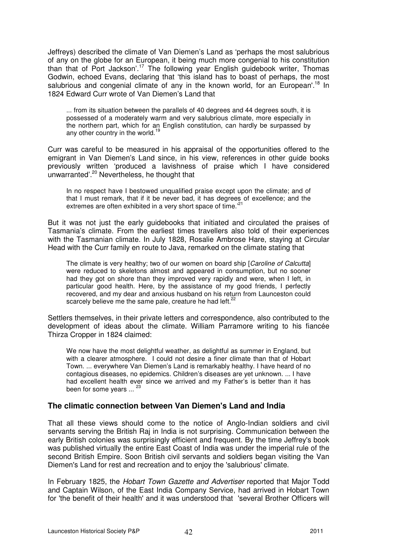Jeffreys) described the climate of Van Diemen's Land as 'perhaps the most salubrious of any on the globe for an European, it being much more congenial to his constitution than that of Port Jackson'.<sup>17</sup> The following year English guidebook writer, Thomas Godwin, echoed Evans, declaring that 'this island has to boast of perhaps, the most salubrious and congenial climate of any in the known world, for an European'.<sup>18</sup> In 1824 Edward Curr wrote of Van Diemen's Land that

... from its situation between the parallels of 40 degrees and 44 degrees south, it is possessed of a moderately warm and very salubrious climate, more especially in the northern part, which for an English constitution, can hardly be surpassed by any other country in the world.<sup>19</sup>

Curr was careful to be measured in his appraisal of the opportunities offered to the emigrant in Van Diemen's Land since, in his view, references in other guide books previously written 'produced a lavishness of praise which I have considered unwarranted'.<sup>20</sup> Nevertheless, he thought that

In no respect have I bestowed unqualified praise except upon the climate; and of that I must remark, that if it be never bad, it has degrees of excellence; and the extremes are often exhibited in a very short space of time.<sup>21</sup>

But it was not just the early guidebooks that initiated and circulated the praises of Tasmania's climate. From the earliest times travellers also told of their experiences with the Tasmanian climate. In July 1828, Rosalie Ambrose Hare, staying at Circular Head with the Curr family en route to Java, remarked on the climate stating that

The climate is very healthy; two of our women on board ship [Caroline of Calcutta] were reduced to skeletons almost and appeared in consumption, but no sooner had they got on shore than they improved very rapidly and were, when I left, in particular good health. Here, by the assistance of my good friends, I perfectly recovered, and my dear and anxious husband on his return from Launceston could scarcely believe me the same pale, creature he had left. $^{22}$ 

Settlers themselves, in their private letters and correspondence, also contributed to the development of ideas about the climate. William Parramore writing to his fiancée Thirza Cropper in 1824 claimed:

We now have the most delightful weather, as delightful as summer in England, but with a clearer atmosphere. I could not desire a finer climate than that of Hobart Town. ... everywhere Van Diemen's Land is remarkably healthy. I have heard of no contagious diseases, no epidemics. Children's diseases are yet unknown. ... I have had excellent health ever since we arrived and my Father's is better than it has been for some years ...  $^{23}$ 

#### **The climatic connection between Van Diemen's Land and India**

That all these views should come to the notice of Anglo-Indian soldiers and civil servants serving the British Raj in India is not surprising. Communication between the early British colonies was surprisingly efficient and frequent. By the time Jeffrey's book was published virtually the entire East Coast of India was under the imperial rule of the second British Empire. Soon British civil servants and soldiers began visiting the Van Diemen's Land for rest and recreation and to enjoy the 'salubrious' climate.

In February 1825, the Hobart Town Gazette and Advertiser reported that Major Todd and Captain Wilson, of the East India Company Service, had arrived in Hobart Town for 'the benefit of their health' and it was understood that 'several Brother Officers will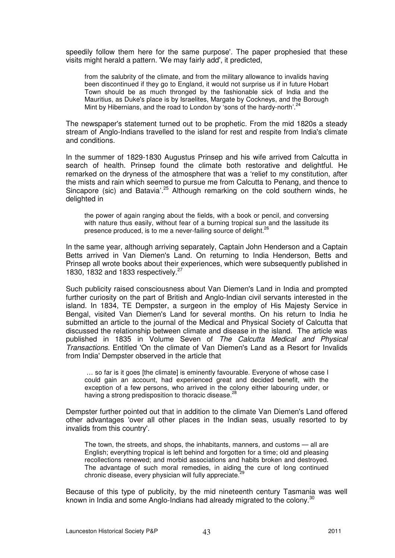speedily follow them here for the same purpose'. The paper prophesied that these visits might herald a pattern. 'We may fairly add', it predicted,

from the salubrity of the climate, and from the military allowance to invalids having been discontinued if they go to England, it would not surprise us if in future Hobart Town should be as much thronged by the fashionable sick of India and the Mauritius, as Duke's place is by Israelites, Margate by Cockneys, and the Borough Mint by Hibernians, and the road to London by 'sons of the hardy-north'.<sup>24</sup>

The newspaper's statement turned out to be prophetic. From the mid 1820s a steady stream of Anglo-Indians travelled to the island for rest and respite from India's climate and conditions.

In the summer of 1829-1830 Augustus Prinsep and his wife arrived from Calcutta in search of health. Prinsep found the climate both restorative and delightful. He remarked on the dryness of the atmosphere that was a 'relief to my constitution, after the mists and rain which seemed to pursue me from Calcutta to Penang, and thence to Sincapore (sic) and Batavia<sup>'.25</sup> Although remarking on the cold southern winds, he delighted in

the power of again ranging about the fields, with a book or pencil, and conversing with nature thus easily, without fear of a burning tropical sun and the lassitude its presence produced, is to me a never-failing source of delight.<sup>26</sup>

In the same year, although arriving separately, Captain John Henderson and a Captain Betts arrived in Van Diemen's Land. On returning to India Henderson, Betts and Prinsep all wrote books about their experiences, which were subsequently published in 1830, 1832 and 1833 respectively.<sup>27</sup>

Such publicity raised consciousness about Van Diemen's Land in India and prompted further curiosity on the part of British and Anglo-Indian civil servants interested in the island. In 1834, TE Dempster, a surgeon in the employ of His Majesty Service in Bengal, visited Van Diemen's Land for several months. On his return to India he submitted an article to the journal of the Medical and Physical Society of Calcutta that discussed the relationship between climate and disease in the island. The article was published in 1835 in Volume Seven of The Calcutta Medical and Physical Transactions. Entitled 'On the climate of Van Diemen's Land as a Resort for Invalids from India' Dempster observed in the article that

 … so far is it goes [the climate] is eminently favourable. Everyone of whose case I could gain an account, had experienced great and decided benefit, with the exception of a few persons, who arrived in the colony either labouring under, or having a strong predisposition to thoracic disease.<sup>2</sup>

Dempster further pointed out that in addition to the climate Van Diemen's Land offered other advantages 'over all other places in the Indian seas, usually resorted to by invalids from this country'.

The town, the streets, and shops, the inhabitants, manners, and customs — all are English; everything tropical is left behind and forgotten for a time; old and pleasing recollections renewed; and morbid associations and habits broken and destroyed. The advantage of such moral remedies, in aiding the cure of long continued chronic disease, every physician will fully appreciate.

Because of this type of publicity, by the mid nineteenth century Tasmania was well known in India and some Anglo-Indians had already migrated to the colony. $30$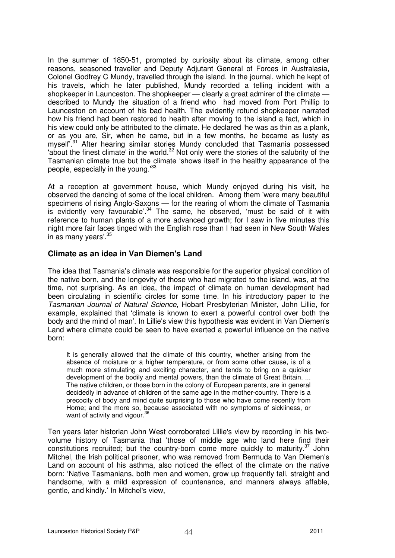In the summer of 1850-51, prompted by curiosity about its climate, among other reasons, seasoned traveller and Deputy Adjutant General of Forces in Australasia, Colonel Godfrey C Mundy, travelled through the island. In the journal, which he kept of his travels, which he later published, Mundy recorded a telling incident with a shopkeeper in Launceston. The shopkeeper — clearly a great admirer of the climate described to Mundy the situation of a friend who had moved from Port Phillip to Launceston on account of his bad health. The evidently rotund shopkeeper narrated how his friend had been restored to health after moving to the island a fact, which in his view could only be attributed to the climate. He declared 'he was as thin as a plank, or as you are, Sir, when he came, but in a few months, he became as lusty as myself<sup>'.31</sup> After hearing similar stories Mundy concluded that Tasmania possessed 'about the finest climate' in the world.<sup>32</sup> Not only were the stories of the salubrity of the Tasmanian climate true but the climate 'shows itself in the healthy appearance of the people, especially in the young.<sup>33</sup>

At a reception at government house, which Mundy enjoyed during his visit, he observed the dancing of some of the local children. Among them 'were many beautiful specimens of rising Anglo-Saxons — for the rearing of whom the climate of Tasmania is evidently very favourable'.<sup>34</sup> The same, he observed, 'must be said of it with reference to human plants of a more advanced growth; for I saw in five minutes this night more fair faces tinged with the English rose than I had seen in New South Wales in as many years'.<sup>35</sup>

#### **Climate as an idea in Van Diemen's Land**

The idea that Tasmania's climate was responsible for the superior physical condition of the native born, and the longevity of those who had migrated to the island, was, at the time, not surprising. As an idea, the impact of climate on human development had been circulating in scientific circles for some time. In his introductory paper to the Tasmanian Journal of Natural Science, Hobart Presbyterian Minister, John Lillie, for example, explained that 'climate is known to exert a powerful control over both the body and the mind of man'. In Lillie's view this hypothesis was evident in Van Diemen's Land where climate could be seen to have exerted a powerful influence on the native born:

It is generally allowed that the climate of this country, whether arising from the absence of moisture or a higher temperature, or from some other cause, is of a much more stimulating and exciting character, and tends to bring on a quicker development of the bodily and mental powers, than the climate of Great Britain. ... The native children, or those born in the colony of European parents, are in general decidedly in advance of children of the same age in the mother-country. There is a precocity of body and mind quite surprising to those who have come recently from Home; and the more so, because associated with no symptoms of sickliness, or want of activity and vigour.<sup>36</sup>

Ten years later historian John West corroborated Lillie's view by recording in his twovolume history of Tasmania that 'those of middle age who land here find their constitutions recruited; but the country-born come more quickly to maturity.<sup>37</sup> John Mitchel, the Irish political prisoner, who was removed from Bermuda to Van Diemen's Land on account of his asthma, also noticed the effect of the climate on the native born: 'Native Tasmanians, both men and women, grow up frequently tall, straight and handsome, with a mild expression of countenance, and manners always affable, gentle, and kindly.' In Mitchel's view,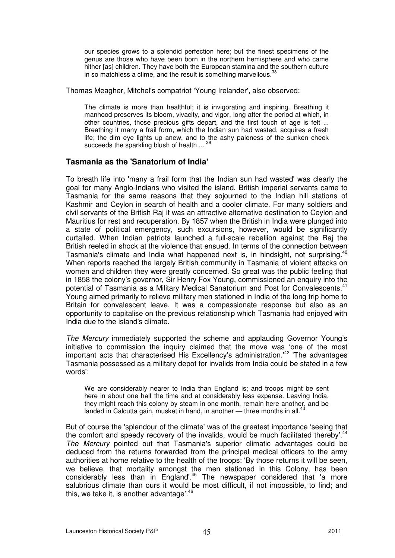our species grows to a splendid perfection here; but the finest specimens of the genus are those who have been born in the northern hemisphere and who came hither [as] children. They have both the European stamina and the southern culture in so matchless a clime, and the result is something marvellous.<sup>38</sup>

Thomas Meagher, Mitchel's compatriot 'Young Irelander', also observed:

The climate is more than healthful; it is invigorating and inspiring. Breathing it manhood preserves its bloom, vivacity, and vigor, long after the period at which, in other countries, those precious gifts depart, and the first touch of age is felt ... Breathing it many a frail form, which the Indian sun had wasted, acquires a fresh life; the dim eye lights up anew, and to the ashy paleness of the sunken cheek succeeds the sparkling blush of health ...

#### **Tasmania as the 'Sanatorium of India'**

To breath life into 'many a frail form that the Indian sun had wasted' was clearly the goal for many Anglo-Indians who visited the island. British imperial servants came to Tasmania for the same reasons that they sojourned to the Indian hill stations of Kashmir and Ceylon in search of health and a cooler climate. For many soldiers and civil servants of the British Raj it was an attractive alternative destination to Ceylon and Mauritius for rest and recuperation. By 1857 when the British in India were plunged into a state of political emergency, such excursions, however, would be significantly curtailed. When Indian patriots launched a full-scale rebellion against the Raj the British reeled in shock at the violence that ensued. In terms of the connection between Tasmania's climate and India what happened next is, in hindsight, not surprising.<sup>40</sup> When reports reached the largely British community in Tasmania of violent attacks on women and children they were greatly concerned. So great was the public feeling that in 1858 the colony's governor, Sir Henry Fox Young, commissioned an enquiry into the potential of Tasmania as a Military Medical Sanatorium and Post for Convalescents.<sup>41</sup> Young aimed primarily to relieve military men stationed in India of the long trip home to Britain for convalescent leave. It was a compassionate response but also as an opportunity to capitalise on the previous relationship which Tasmania had enjoyed with India due to the island's climate.

The Mercury immediately supported the scheme and applauding Governor Young's initiative to commission the inquiry claimed that the move was 'one of the most important acts that characterised His Excellency's administration.'<sup>42</sup> 'The advantages Tasmania possessed as a military depot for invalids from India could be stated in a few words':

We are considerably nearer to India than England is; and troops might be sent here in about one half the time and at considerably less expense. Leaving India, they might reach this colony by steam in one month, remain here another, and be landed in Calcutta gain, musket in hand, in another  $-$  three months in all.<sup>43</sup>

But of course the 'splendour of the climate' was of the greatest importance 'seeing that the comfort and speedy recovery of the invalids, would be much facilitated thereby'.<sup>44</sup> The Mercury pointed out that Tasmania's superior climatic advantages could be deduced from the returns forwarded from the principal medical officers to the army authorities at home relative to the health of the troops: 'By those returns it will be seen, we believe, that mortality amongst the men stationed in this Colony, has been considerably less than in England<sup>'45</sup> The newspaper considered that 'a more salubrious climate than ours it would be most difficult, if not impossible, to find; and this, we take it, is another advantage'.<sup>46</sup>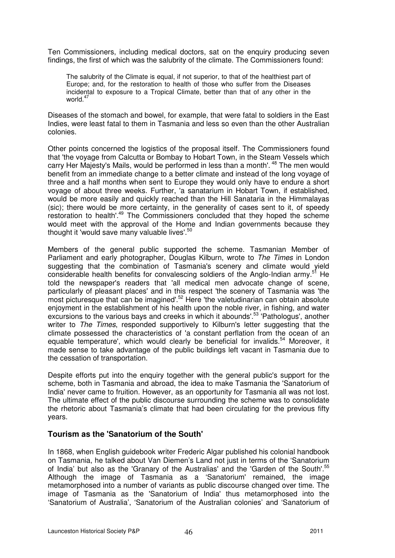Ten Commissioners, including medical doctors, sat on the enquiry producing seven findings, the first of which was the salubrity of the climate. The Commissioners found:

The salubrity of the Climate is equal, if not superior, to that of the healthiest part of Europe; and, for the restoration to health of those who suffer from the Diseases incidental to exposure to a Tropical Climate, better than that of any other in the world $47$ 

Diseases of the stomach and bowel, for example, that were fatal to soldiers in the East Indies, were least fatal to them in Tasmania and less so even than the other Australian colonies.

Other points concerned the logistics of the proposal itself. The Commissioners found that 'the voyage from Calcutta or Bombay to Hobart Town, in the Steam Vessels which carry Her Majesty's Mails, would be performed in less than a month'.<sup>48</sup> The men would benefit from an immediate change to a better climate and instead of the long voyage of three and a half months when sent to Europe they would only have to endure a short voyage of about three weeks. Further, 'a sanatarium in Hobart Town, if established, would be more easily and quickly reached than the Hill Sanataria in the Himmalayas (sic); there would be more certainty, in the generality of cases sent to it, of speedy restoration to health'.<sup>49</sup> The Commissioners concluded that they hoped the scheme would meet with the approval of the Home and Indian governments because they thought it 'would save many valuable lives'.<sup>50</sup>

Members of the general public supported the scheme. Tasmanian Member of Parliament and early photographer, Douglas Kilburn, wrote to The Times in London suggesting that the combination of Tasmania's scenery and climate would yield considerable health benefits for convalescing soldiers of the Anglo-Indian army.<sup>51</sup> He told the newspaper's readers that 'all medical men advocate change of scene, particularly of pleasant places' and in this respect 'the scenery of Tasmania was 'the most picturesque that can be imagined'.<sup>52</sup> Here 'the valetudinarian can obtain absolute enjoyment in the establishment of his health upon the noble river, in fishing, and water excursions to the various bays and creeks in which it abounds'.<sup>53</sup> 'Pathologus', another writer to *The Times*, responded supportively to Kilburn's letter suggesting that the climate possessed the characteristics of 'a constant perflation from the ocean of an equable temperature', which would clearly be beneficial for invalids.<sup>54</sup> Moreover, it made sense to take advantage of the public buildings left vacant in Tasmania due to the cessation of transportation.

Despite efforts put into the enquiry together with the general public's support for the scheme, both in Tasmania and abroad, the idea to make Tasmania the 'Sanatorium of India' never came to fruition. However, as an opportunity for Tasmania all was not lost. The ultimate effect of the public discourse surrounding the scheme was to consolidate the rhetoric about Tasmania's climate that had been circulating for the previous fifty years.

### **Tourism as the 'Sanatorium of the South'**

In 1868, when English guidebook writer Frederic Algar published his colonial handbook on Tasmania, he talked about Van Diemen's Land not just in terms of the 'Sanatorium of India' but also as the 'Granary of the Australias' and the 'Garden of the South'.<sup>55</sup> Although the image of Tasmania as a 'Sanatorium' remained, the image metamorphosed into a number of variants as public discourse changed over time. The image of Tasmania as the 'Sanatorium of India' thus metamorphosed into the 'Sanatorium of Australia', 'Sanatorium of the Australian colonies' and 'Sanatorium of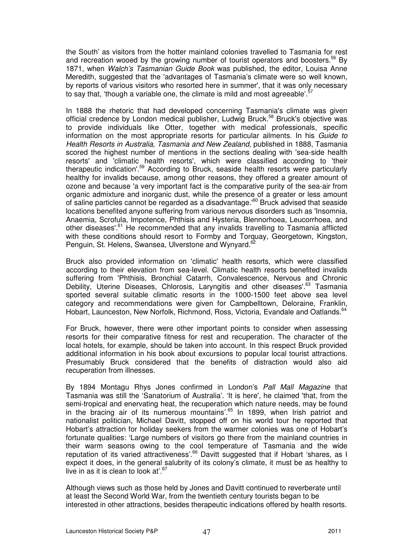the South' as visitors from the hotter mainland colonies travelled to Tasmania for rest and recreation wooed by the growing number of tourist operators and boosters.<sup>56</sup> By 1871, when Walch's Tasmanian Guide Book was published, the editor, Louisa Anne Meredith, suggested that the 'advantages of Tasmania's climate were so well known, by reports of various visitors who resorted here in summer', that it was only necessary to say that, 'though a variable one, the climate is mild and most agreeable'.<sup>5</sup>

In 1888 the rhetoric that had developed concerning Tasmania's climate was given official credence by London medical publisher, Ludwig Bruck.<sup>58</sup> Bruck's objective was to provide individuals like Otter, together with medical professionals, specific information on the most appropriate resorts for particular ailments. In his Guide to Health Resorts in Australia, Tasmania and New Zealand, published in 1888, Tasmania scored the highest number of mentions in the sections dealing with 'sea-side health resorts' and 'climatic health resorts', which were classified according to 'their therapeutic indication'.<sup>59</sup> According to Bruck, seaside health resorts were particularly healthy for invalids because, among other reasons, they offered a greater amount of ozone and because 'a very important fact is the comparative purity of the sea-air from organic admixture and inorganic dust, while the presence of a greater or less amount of saline particles cannot be regarded as a disadvantage.<sup>60</sup> Bruck advised that seaside locations benefited anyone suffering from various nervous disorders such as 'Insomnia, Anaemia, Scrofula, Impotence, Phthisis and Hysteria, Blennorhoea, Leucorrhoea, and other diseases'.<sup>61</sup> He recommended that any invalids travelling to Tasmania afflicted with these conditions should resort to Formby and Torquay, Georgetown, Kingston, Penguin, St. Helens, Swansea, Ulverstone and Wynyard.<sup>61</sup>

Bruck also provided information on 'climatic' health resorts, which were classified according to their elevation from sea-level. Climatic health resorts benefited invalids suffering from 'Phthisis, Bronchial Catarrh, Convalescence, Nervous and Chronic Debility, Uterine Diseases, Chlorosis, Laryngitis and other diseases'.<sup>63</sup> Tasmania sported several suitable climatic resorts in the 1000-1500 feet above sea level category and recommendations were given for Campbelltown, Deloraine, Franklin, Hobart, Launceston, New Norfolk, Richmond, Ross, Victoria, Evandale and Oatlands.<sup>64</sup>

For Bruck, however, there were other important points to consider when assessing resorts for their comparative fitness for rest and recuperation. The character of the local hotels, for example, should be taken into account. In this respect Bruck provided additional information in his book about excursions to popular local tourist attractions. Presumably Bruck considered that the benefits of distraction would also aid recuperation from illnesses.

By 1894 Montagu Rhys Jones confirmed in London's Pall Mall Magazine that Tasmania was still the 'Sanatorium of Australia'. 'It is here', he claimed 'that, from the semi-tropical and enervating heat, the recuperation which nature needs, may be found in the bracing air of its numerous mountains'.<sup>65</sup> In 1899, when Irish patriot and nationalist politician, Michael Davitt, stopped off on his world tour he reported that Hobart's attraction for holiday seekers from the warmer colonies was one of Hobart's fortunate qualities: 'Large numbers of visitors go there from the mainland countries in their warm seasons owing to the cool temperature of Tasmania and the wide reputation of its varied attractiveness'.<sup>66</sup> Davitt suggested that if Hobart 'shares, as I expect it does, in the general salubrity of its colony's climate, it must be as healthy to live in as it is clean to look at'.  $67$ 

Although views such as those held by Jones and Davitt continued to reverberate until at least the Second World War, from the twentieth century tourists began to be interested in other attractions, besides therapeutic indications offered by health resorts.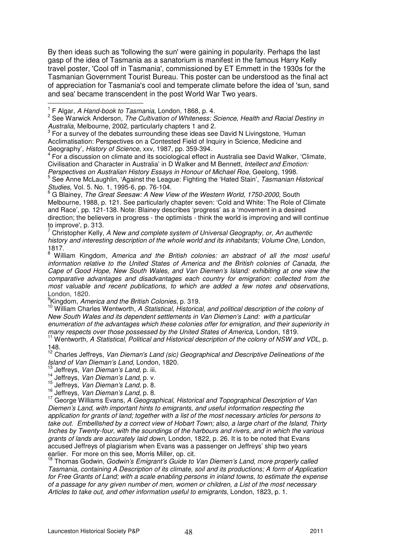By then ideas such as 'following the sun' were gaining in popularity. Perhaps the last gasp of the idea of Tasmania as a sanatorium is manifest in the famous Harry Kelly travel poster, 'Cool off in Tasmania', commissioned by ET Emmett in the 1930s for the Tasmanian Government Tourist Bureau. This poster can be understood as the final act of appreciation for Tasmania's cool and temperate climate before the idea of 'sun, sand and sea' became transcendent in the post World War Two years.  $\overline{a}$ 

 For a discussion on climate and its sociological effect in Australia see David Walker, 'Climate, Civilisation and Character in Australia' in D Walker and M Bennett, Intellect and Emotion:

Perspectives on Australian History Essays in Honour of Michael Roe, Geelong, 1998.<br><sup>5</sup> See Anne Mel quablin, 'Ageinst the Loggue: Fighting the 'Hated Stein', *Teomonian L*  See Anne McLaughlin, 'Against the League: Fighting the 'Hated Stain', Tasmanian Historical Studies, Vol. 5. No. 1, 1995-6, pp. 76-104.

 $^6$  G Blainey, The Great Seesaw: A New View of the Western World, 1750-2000, South Melbourne, 1988, p. 121. See particularly chapter seven: 'Cold and White: The Role of Climate and Race', pp. 121-138. Note: Blainey describes 'progress' as a 'movement in a desired direction; the believers in progress - the optimists - think the world is improving and will continue to improve', p. 313.

7 Christopher Kelly, A New and complete system of Universal Geography, or, An authentic history and interesting description of the whole world and its inhabitants; Volume One, London, 1817.

8 William Kingdom, America and the British colonies: an abstract of all the most useful information relative to the United States of America and the British colonies of Canada, the Cape of Good Hope, New South Wales, and Van Diemen's Island: exhibiting at one view the comparative advantages and disadvantages each country for emigration: collected from the most valuable and recent publications, to which are added a few notes and observations, London, 1820.

<sup>9</sup> Kingdom, America and the British Colonies, p. 319.

<sup>10</sup> William Charles Wentworth, A Statistical, Historical, and political description of the colony of New South Wales and its dependent settlements in Van Diemen's Land: with a particular enumeration of the advantages which these colonies offer for emigration, and their superiority in many respects over those possessed by the United States of America, London, 1819.

<sup>11</sup> Wentworth, A Statistical, Political and Historical description of the colony of NSW and VDL, p. 148.

 $12$  Charles Jeffreys, Van Dieman's Land (sic) Geographical and Descriptive Delineations of the Island of Van Dieman's Land, London, 1820.

- Jeffreys, Van Dieman's Land, p. iii.
- 14 Jeffreys, *Van Dieman's Land*, p. v.

<sup>15</sup> Jeffreys, Van Dieman's Land, p. 8.

<sup>16</sup> Jeffreys, Van Dieman's Land, p. 8.

<sup>17</sup> George Williams Evans, A Geographical, Historical and Topographical Description of Van Diemen's Land, with important hints to emigrants, and useful information respecting the application for grants of land; together with a list of the most necessary articles for persons to take out. Embellished by a correct view of Hobart Town; also, a large chart of the Island, Thirty Inches by Twenty-four, with the soundings of the harbours and rivers, and in which the various grants of lands are accurately laid down, London, 1822, p. 26. It is to be noted that Evans accused Jeffreys of plagiarism when Evans was a passenger on Jeffreys' ship two years earlier. For more on this see, Morris Miller, op. cit.

<sup>18</sup> Thomas Godwin, Godwin's Emigrant's Guide to Van Diemen's Land, more properly called Tasmania, containing A Description of its climate, soil and its productions; A form of Application for Free Grants of Land; with a scale enabling persons in inland towns, to estimate the expense of a passage for any given number of men, women or children, a List of the most necessary Articles to take out, and other information useful to emigrants, London, 1823, p. 1.

<sup>&</sup>lt;sup>1</sup> F Algar, A Hand-book to Tasmania, London, 1868, p. 4.

<sup>&</sup>lt;sup>2</sup> See Warwick Anderson, The Cultivation of Whiteness: Science, Health and Racial Destiny in Australia, Melbourne, 2002, particularly chapters 1 and 2.

 $3$  For a survey of the debates surrounding these ideas see David N Livingstone, 'Human Acclimatisation: Perspectives on a Contested Field of Inquiry in Science, Medicine and Geography', *History of Science*, xxv, 1987, pp. 359-394.<br><sup>4</sup> Eer a diaguagian on climate and its assistantial offect in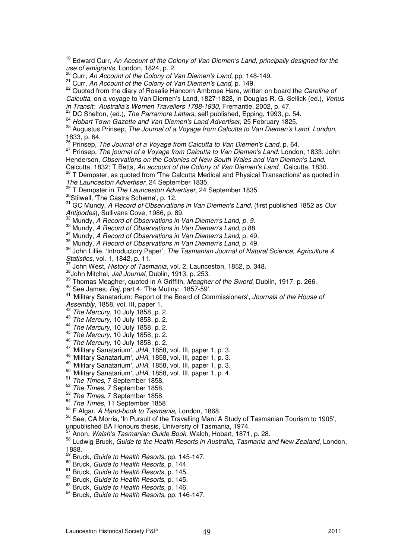Calcutta, on a voyage to Van Diemen's Land, 1827-1828, in Douglas R. G. Sellick (ed.), Venus in Transit: Australia's Women Travellers 1788-1930, Fremantle, 2002, p. 47.

24 Hobart Town Gazette and Van Diemen's Land Advertiser, 25 February 1825.

<sup>25</sup> Augustus Prinsep, The Journal of a Voyage from Calcutta to Van Diemen's Land, London, 1833, p. 64.

 $26$  Prinsep. The Journal of a Vovage from Calcutta to Van Diemen's Land, p. 64.

<sup>27</sup> Prinsep, The journal of a Voyage from Calcutta to Van Diemen's Land. London, 1833; John Henderson, Observations on the Colonies of New South Wales and Van Diemen's Land. Calcutta, 1832; T Betts, An account of the Colony of Van Diemen's Land. Calcutta, 1830.

28 T Dempster, as quoted from 'The Calcutta Medical and Physical Transactions' as quoted in The Launceston Advertiser, 24 September 1835.

<sup>29</sup> T Dempster in *The Launceston Advertiser*, 24 September 1835.

30Stilwell, 'The Castra Scheme', p. 12.

l.

 $31$  GC Mundy, A Record of Observations in Van Diemen's Land, (first published 1852 as Our Antipodes), Sullivans Cove, 1986, p. 89.

 $32$  Mundy,  $A$  Record of Observations in Van Diemen's Land, p. 9.

33 Mundy, A Record of Observations in Van Diemen's Land, p.88.

 $34$  Mundy, A Record of Observations in Van Diemen's Land, p. 49.

35 Mundy, A Record of Observations in Van Diemen's Land, p. 49.

 $36$  John Lillie, 'Introductory Paper', The Tasmanian Journal of Natural Science, Agriculture & Statistics, vol. 1, 1842, p. 11.<br> $\frac{37}{16}$  let W.

John West, History of Tasmania, vol. 2, Launceston, 1852, p. 348.

38 John Mitchel, Jail Journal, Dublin, 1913, p. 253.

<sup>39</sup> Thomas Meagher, quoted in A Griffith, *Meagher of the Sword*, Dublin, 1917, p. 266.

 $40$  See James,  $\widetilde{Ra}$ , part 4, 'The Mutiny: 1857-59'.

41 'Military Sanatarium: Report of the Board of Commissioners', Journals of the House of Assembly, 1858, vol. III, paper 1.

 $42$  The Mercury, 10 July 1858, p. 2.

 $43$  The Mercury, 10 July 1858, p. 2.

- <sup>44</sup> The Mercury, 10 July 1858, p. 2.
- <sup>45</sup> The Mercury, 10 July 1858, p. 2.
- <sup>46</sup> The Mercury, 10 July 1858, p. 2.
- <sup>47</sup> 'Military Sanatarium', JHA, 1858, vol. III, paper 1, p. 3.
- 48 'Military Sanatarium', JHA, 1858, vol. III, paper 1, p. 3.

 $^{49}$  'Military Sanatarium', JHA, 1858, vol. III, paper 1, p. 3.

- $50$  'Military Sanatarium', JHA, 1858, vol. III, paper 1, p. 4.
- $\frac{51}{52}$  The Times, 7 September 1858.
- The Times, 7 September 1858.
- $53$  The Times, 7 September 1858<br> $54$  The Times 11 September 1859
- The Times, 11 September 1858.
- <sup>55</sup> F Algar, A Hand-book to Tasmania, London, 1868.

<sup>56</sup> See, CA Morris, 'In Pursuit of the Travelling Man: A Study of Tasmanian Tourism to 1905', unpublished BA Honours thesis, University of Tasmania, 1974.

Anon, Walsh's Tasmanian Guide Book, Walch, Hobart, 1871, p. 28.

<sup>58</sup> Ludwig Bruck, Guide to the Health Resorts in Australia, Tasmania and New Zealand, London, 1888.

- <sup>59</sup> Bruck, Guide to Health Resorts, pp. 145-147.
- <sup>60</sup> Bruck, Guide to Health Resorts, p. 144.
- <sup>61</sup> Bruck, Guide to Health Resorts, p. 145.
- <sup>62</sup> Bruck, Guide to Health Resorts, p. 145.
- <sup>63</sup> Bruck, Guide to Health Resorts, p. 146.
- <sup>64</sup> Bruck, Guide to Health Resorts, pp. 146-147.

 $19$  Edward Curr, An Account of the Colony of Van Diemen's Land, principally designed for the use of emigrants, London, 1824, p. 2.

 $^0$  Curr, An Account of the Colony of Van Diemen's Land, pp. 148-149.

 $21$  Curr, An Account of the Colony of Van Diemen's Land, p. 149.

<sup>&</sup>lt;sup>22</sup> Quoted from the diary of Rosalie Hancorn Ambrose Hare, written on board the Caroline of

<sup>&</sup>lt;sup>23</sup> DC Shelton, (ed.), The Parramore Letters, self published, Epping, 1993, p. 54.